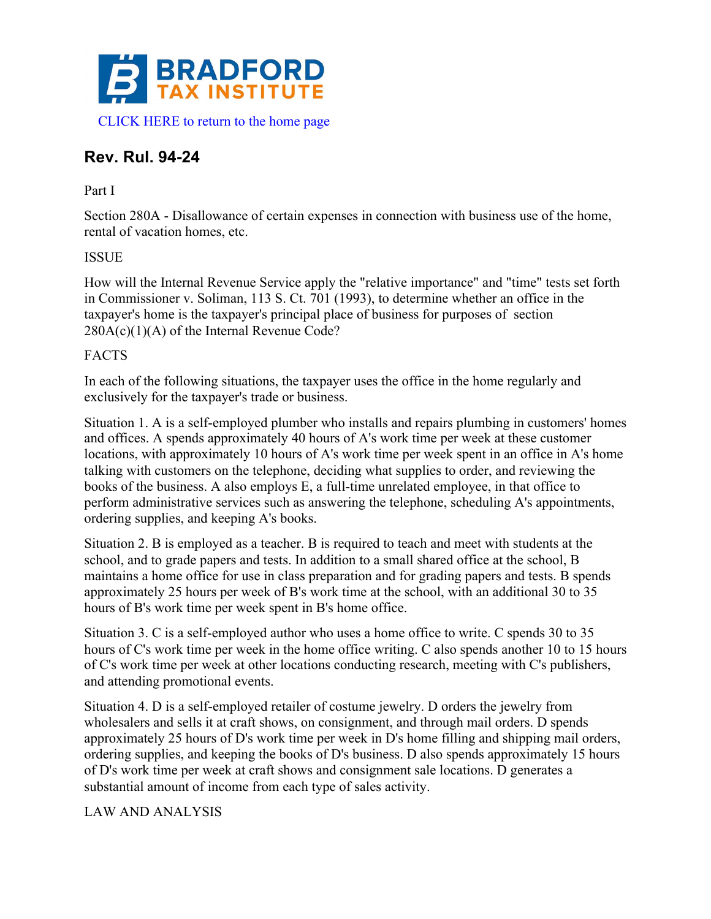

# **Rev. Rul. 94-24**

## Part I

Section 280A - Disallowance of certain expenses in connection with business use of the home, rental of vacation homes, etc.

## ISSUE

How will the Internal Revenue Service apply the "relative importance" and "time" tests set forth in Commissioner v. Soliman, 113 S. Ct. 701 (1993), to determine whether an office in the taxpayer's home is the taxpayer's principal place of business for purposes of section  $280A(c)(1)(A)$  of the Internal Revenue Code?

## FACTS

In each of the following situations, the taxpayer uses the office in the home regularly and exclusively for the taxpayer's trade or business.

Situation 1. A is a self-employed plumber who installs and repairs plumbing in customers' homes and offices. A spends approximately 40 hours of A's work time per week at these customer locations, with approximately 10 hours of A's work time per week spent in an office in A's home talking with customers on the telephone, deciding what supplies to order, and reviewing the books of the business. A also employs E, a full-time unrelated employee, in that office to perform administrative services such as answering the telephone, scheduling A's appointments, ordering supplies, and keeping A's books.

Situation 2. B is employed as a teacher. B is required to teach and meet with students at the school, and to grade papers and tests. In addition to a small shared office at the school, B maintains a home office for use in class preparation and for grading papers and tests. B spends approximately 25 hours per week of B's work time at the school, with an additional 30 to 35 hours of B's work time per week spent in B's home office.

Situation 3. C is a self-employed author who uses a home office to write. C spends 30 to 35 hours of C's work time per week in the home office writing. C also spends another 10 to 15 hours of C's work time per week at other locations conducting research, meeting with C's publishers, and attending promotional events.

Situation 4. D is a self-employed retailer of costume jewelry. D orders the jewelry from wholesalers and sells it at craft shows, on consignment, and through mail orders. D spends approximately 25 hours of D's work time per week in D's home filling and shipping mail orders, ordering supplies, and keeping the books of D's business. D also spends approximately 15 hours of D's work time per week at craft shows and consignment sale locations. D generates a substantial amount of income from each type of sales activity.

#### LAW AND ANALYSIS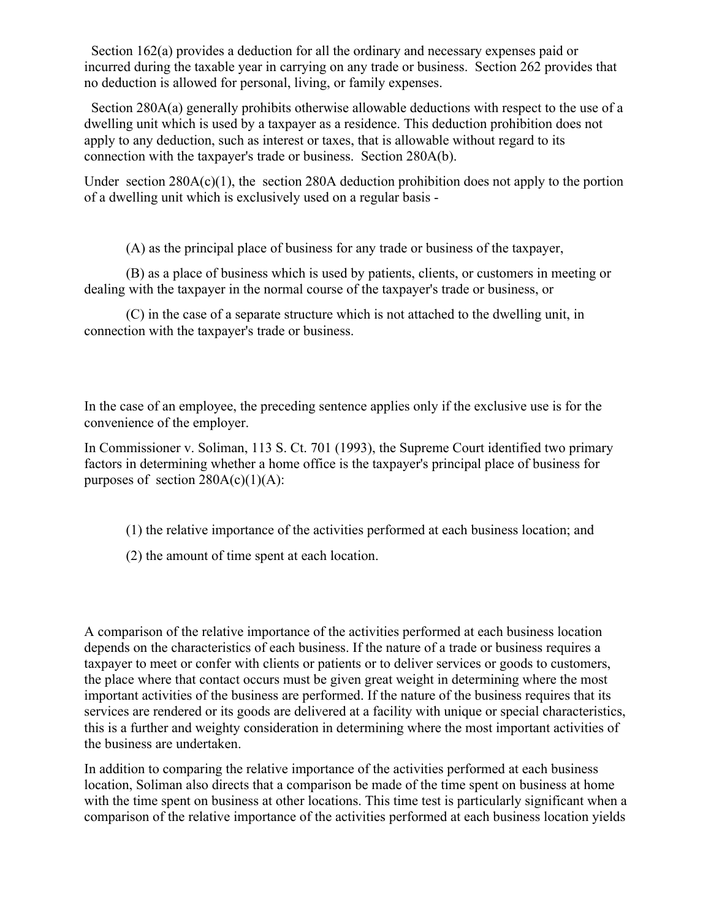Section 162(a) provides a deduction for all the ordinary and necessary expenses paid or incurred during the taxable year in carrying on any trade or business. Section 262 provides that no deduction is allowed for personal, living, or family expenses.

 Section 280A(a) generally prohibits otherwise allowable deductions with respect to the use of a dwelling unit which is used by a taxpayer as a residence. This deduction prohibition does not apply to any deduction, such as interest or taxes, that is allowable without regard to its connection with the taxpayer's trade or business. Section 280A(b).

Under section  $280A(c)(1)$ , the section  $280A$  deduction prohibition does not apply to the portion of a dwelling unit which is exclusively used on a regular basis -

(A) as the principal place of business for any trade or business of the taxpayer,

(B) as a place of business which is used by patients, clients, or customers in meeting or dealing with the taxpayer in the normal course of the taxpayer's trade or business, or

(C) in the case of a separate structure which is not attached to the dwelling unit, in connection with the taxpayer's trade or business.

In the case of an employee, the preceding sentence applies only if the exclusive use is for the convenience of the employer.

In Commissioner v. Soliman, 113 S. Ct. 701 (1993), the Supreme Court identified two primary factors in determining whether a home office is the taxpayer's principal place of business for purposes of section  $280A(c)(1)(A)$ :

- (1) the relative importance of the activities performed at each business location; and
- (2) the amount of time spent at each location.

A comparison of the relative importance of the activities performed at each business location depends on the characteristics of each business. If the nature of a trade or business requires a taxpayer to meet or confer with clients or patients or to deliver services or goods to customers, the place where that contact occurs must be given great weight in determining where the most important activities of the business are performed. If the nature of the business requires that its services are rendered or its goods are delivered at a facility with unique or special characteristics, this is a further and weighty consideration in determining where the most important activities of the business are undertaken.

In addition to comparing the relative importance of the activities performed at each business location, Soliman also directs that a comparison be made of the time spent on business at home with the time spent on business at other locations. This time test is particularly significant when a comparison of the relative importance of the activities performed at each business location yields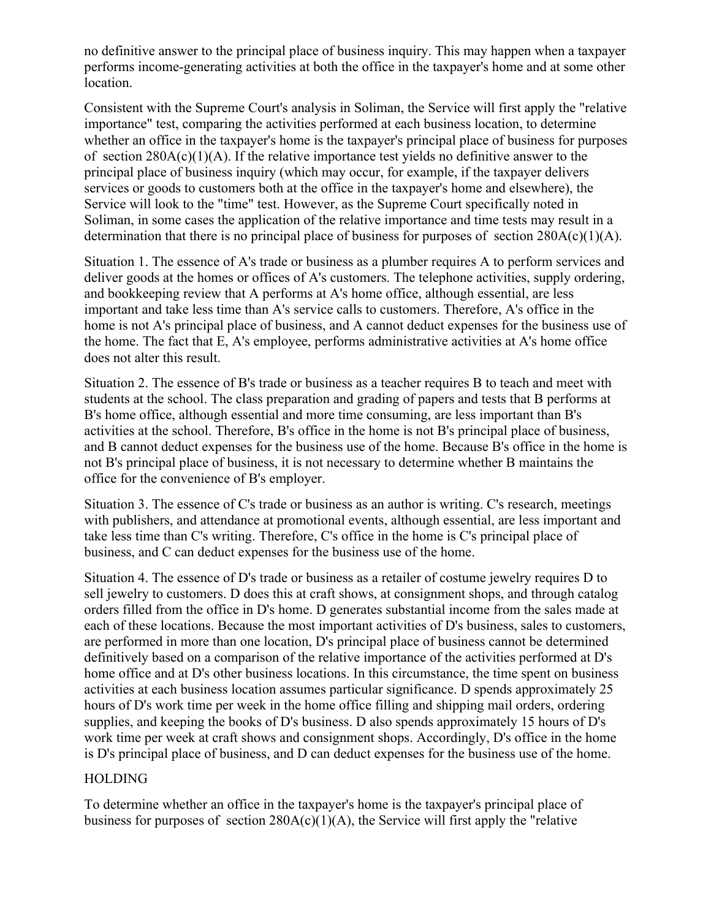no definitive answer to the principal place of business inquiry. This may happen when a taxpayer performs income-generating activities at both the office in the taxpayer's home and at some other location.

Consistent with the Supreme Court's analysis in Soliman, the Service will first apply the "relative importance" test, comparing the activities performed at each business location, to determine whether an office in the taxpayer's home is the taxpayer's principal place of business for purposes of section  $280A(c)(1)(A)$ . If the relative importance test yields no definitive answer to the principal place of business inquiry (which may occur, for example, if the taxpayer delivers services or goods to customers both at the office in the taxpayer's home and elsewhere), the Service will look to the "time" test. However, as the Supreme Court specifically noted in Soliman, in some cases the application of the relative importance and time tests may result in a determination that there is no principal place of business for purposes of section  $280A(c)(1)(A)$ .

Situation 1. The essence of A's trade or business as a plumber requires A to perform services and deliver goods at the homes or offices of A's customers. The telephone activities, supply ordering, and bookkeeping review that A performs at A's home office, although essential, are less important and take less time than A's service calls to customers. Therefore, A's office in the home is not A's principal place of business, and A cannot deduct expenses for the business use of the home. The fact that E, A's employee, performs administrative activities at A's home office does not alter this result.

Situation 2. The essence of B's trade or business as a teacher requires B to teach and meet with students at the school. The class preparation and grading of papers and tests that B performs at B's home office, although essential and more time consuming, are less important than B's activities at the school. Therefore, B's office in the home is not B's principal place of business, and B cannot deduct expenses for the business use of the home. Because B's office in the home is not B's principal place of business, it is not necessary to determine whether B maintains the office for the convenience of B's employer.

Situation 3. The essence of C's trade or business as an author is writing. C's research, meetings with publishers, and attendance at promotional events, although essential, are less important and take less time than C's writing. Therefore, C's office in the home is C's principal place of business, and C can deduct expenses for the business use of the home.

Situation 4. The essence of D's trade or business as a retailer of costume jewelry requires D to sell jewelry to customers. D does this at craft shows, at consignment shops, and through catalog orders filled from the office in D's home. D generates substantial income from the sales made at each of these locations. Because the most important activities of D's business, sales to customers, are performed in more than one location, D's principal place of business cannot be determined definitively based on a comparison of the relative importance of the activities performed at D's home office and at D's other business locations. In this circumstance, the time spent on business activities at each business location assumes particular significance. D spends approximately 25 hours of D's work time per week in the home office filling and shipping mail orders, ordering supplies, and keeping the books of D's business. D also spends approximately 15 hours of D's work time per week at craft shows and consignment shops. Accordingly, D's office in the home is D's principal place of business, and D can deduct expenses for the business use of the home.

#### **HOLDING**

To determine whether an office in the taxpayer's home is the taxpayer's principal place of business for purposes of section  $280A(c)(1)(A)$ , the Service will first apply the "relative"